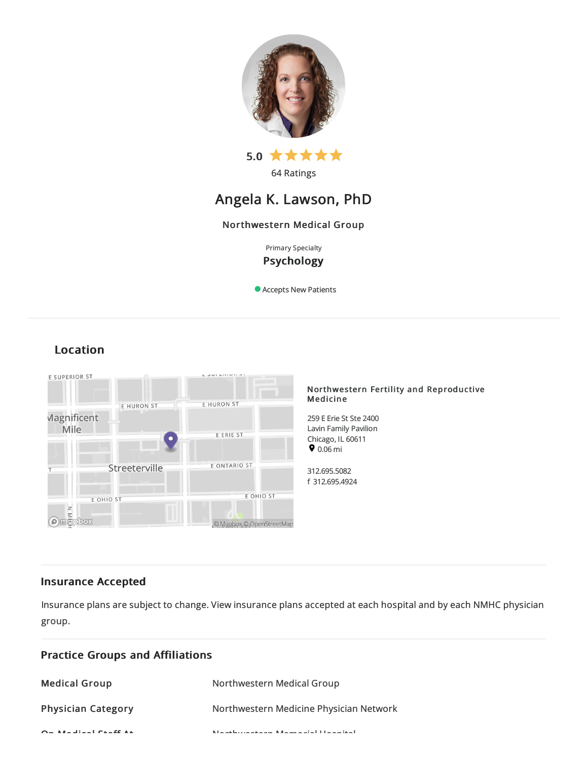

# Angela K. Lawson, PhD

## Northwestern Medical Group

Primary Specialty Psychology

Accepts New Patients

## Location



## Insurance Accepted

Insurance plans are subject to change. View [insurance](https://www.nm.org/patients-and-visitors/billing-and-insurance/insurance-information/accepted-insurance-plans) plans accepted at each hospital and by each NMHC physician group.

| <b>Practice Groups and Affiliations</b> |                                                           |
|-----------------------------------------|-----------------------------------------------------------|
| <b>Medical Group</b>                    | Northwestern Medical Group                                |
| <b>Physician Category</b>               | Northwestern Medicine Physician Network                   |
| $Q = M + 1$ : $M = 1$ $Q + 1$ $Q + 1$   | March de la comparación de Marcha, esta la Halanca de all |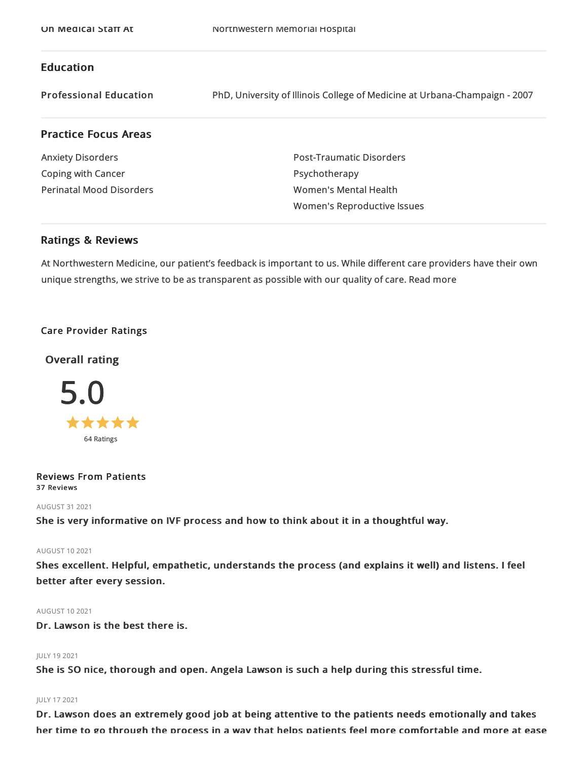## Education

Professional Education PhD, University of Illinois College of Medicineat Urbana-Champaign -2007

## Practice Focus Areas

Anxiety Disorders Coping with Cancer Perinatal Mood Disorders Post-Traumatic Disorders Psychotherapy Women's Mental Health Women's Reproductive Issues

### Ratings & Reviews

At Northwestern Medicine, our patient's feedback is important to us. While different care providers have their own unique strengths, we strive to be as transparent as possible with our quality of care. Read more

#### Care Provider Ratings

## Overall rating



#### Reviews From Patients 37 Reviews

#### AUGUST 312021

She is very informative on IVF process and how to think about it in a thoughtful way.

#### AUGUST 102021

Shes excellent. Helpful, empathetic, understands the process (and explains it well) and listens. I feel better after every session.

#### AUGUST 102021

Dr. Lawson is the best there is.

#### JULY 192021

She is SO nice, thorough and open. Angela Lawson is such a help during this stressful time.

#### JULY 172021

Dr. Lawson does an extremely good job at being attentive to the patients needs emotionally and takes her time to go through the process in a way that helps patients feel more comfortable and more at ease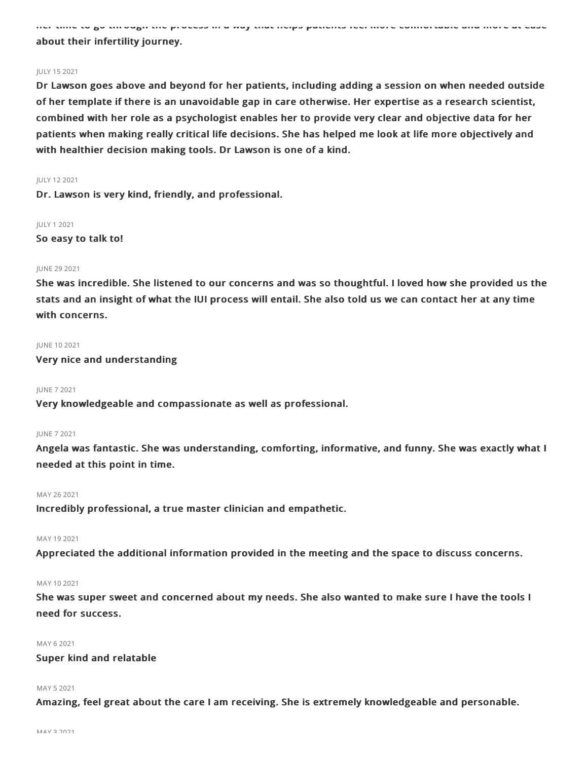her time to go through the process in a way that helps patients feel more comfortable and more at ease about their infertility journey.

#### JULY 152021

Dr Lawson goes above and beyond for her patients, including adding a session on when needed outside of her template if there is an unavoidable gap in care otherwise. Her expertise as a research scientist, combined with her role as a psychologist enables her to provide very clear and objective data for her patients when making really critical life decisions. She has helped me look at life more objectively and with healthier decision making tools. Dr Lawson is one of a kind.

#### JULY 122021

Dr. Lawson is very kind, friendly, and professional.

JULY 12021

So easy to talk to!

#### JUNE 29 2021

She was incredible. She listened to our concerns and was so thoughtful. I loved how she provided us the stats and an insight of what the IUI process will entail. She also told us we can contact her at any time with concerns.

#### JUNE 102021

Very nice and understanding

#### JUNE 72021

Very knowledgeable and compassionate as well as professional.

#### JUNE 72021

Angela was fantastic. She was understanding, comforting, informative, and funny. She was exactly what I needed at this point in time.

#### MAY 26 2021

Incredibly professional, a true master clinician and empathetic.

#### MAY 192021

Appreciated the additional information provided in the meeting and the space to discuss concerns.

#### MAY 102021

She was super sweet and concerned about my needs. She also wanted to make sure I have the tools I need for success.

#### MAY 62021

#### Super kind and relatable

#### MAY 52021

Amazing, feel great about the care I am receiving. She is extremely knowledgeable and personable.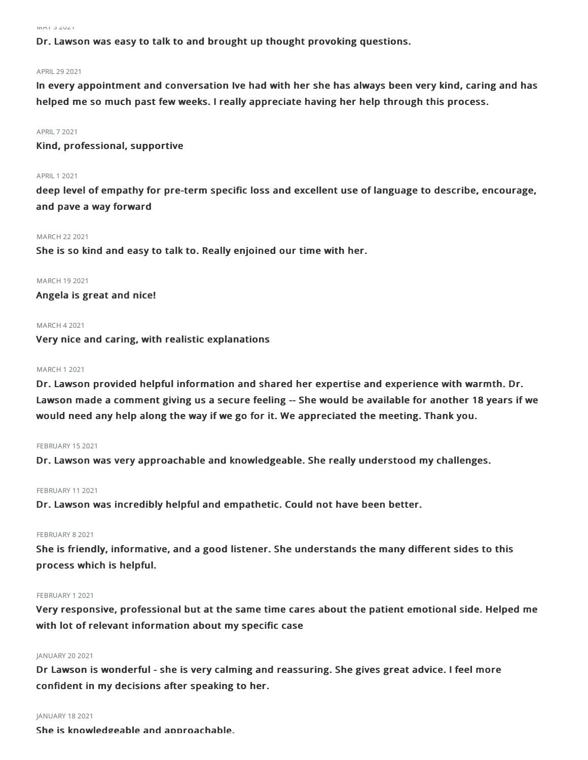$\|V\|f\| + \bigcup_{i=1}^n \bigcup_{i=1}^n \bigcup_{i=1}^n \bigcup_{i=1}^n \bigcup_{i=1}^n \bigcup_{i=1}^n \bigcup_{i=1}^n \bigcup_{i=1}^n \bigcup_{i=1}^n \bigcup_{i=1}^n \bigcup_{i=1}^n \bigcup_{i=1}^n \bigcup_{i=1}^n \bigcup_{i=1}^n \bigcup_{i=1}^n \bigcup_{i=1}^n \bigcup_{i=1}^n \bigcup_{i=1}^n \bigcup_{i=1}^n \bigcup_{i=1}^n \bigcup_{i=1}^n \$ 

Dr. Lawson was easy to talk to and brought up thought provoking questions.

#### APRIL292021

In every appointment and conversation Ive had with her she has always been very kind, caring and has helped me so much past few weeks. I really appreciate having her help through this process.

#### APRIL72021

Kind, professional, supportive

#### APRIL 1 2021

deep level of empathy for pre-term specific loss and excellent use of language to describe, encourage, and pave a way forward

#### MARCH 222021

She is so kind and easy to talk to. Really enjoined our time with her.

#### MARCH 192021

Angela is great and nice!

#### MARCH 42021

Very nice and caring, with realistic explanations

#### MARCH 12021

Dr. Lawson provided helpful information and shared her expertise and experience with warmth. Dr. Lawson made a comment giving us a secure feeling -- She would be available for another 18 years if we would need any help along the way if we go for it. We appreciated the meeting. Thank you.

#### FEBRUARY 152021

Dr. Lawson was very approachable and knowledgeable. She really understood my challenges.

#### FEBRUARY 11 2021

Dr. Lawson was incredibly helpful and empathetic. Could not have been better.

#### FEBRUARY 8 2021

She is friendly, informative, and a good listener. She understands the many different sides to this process which is helpful.

#### FEBRUARY 12021

Very responsive, professional but at the same time cares about the patient emotional side. Helped me with lot of relevant information about my specific case

#### JANUARY 20 2021

Dr Lawson is wonderful - she is very calming and reassuring. She gives great advice. I feel more confident in my decisions after speaking to her.

#### JANUARY 182021

She is knowledgeable and approachable